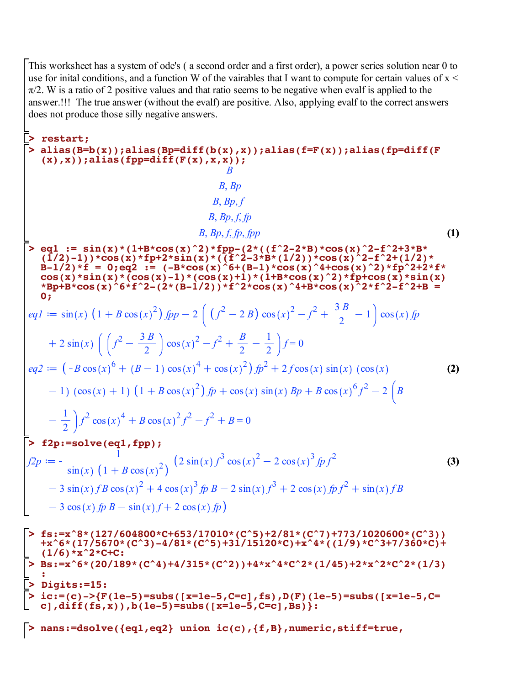This worksheet has a system of ode's ( a second order and a first order), a power series solution near 0 to use for initial conditions, and a function W of the vairables that I want to compute for certain values of  $x <$  $\pi/2$ . W is a ratio of 2 positive values and that ratio seems to be negative when evalf is applied to the answer.!!! The true answer (without the evalf) are positive. Also, applying evalf to the correct answers does not produce those silly negative answers.

$$
\begin{bmatrix}\n\sum_{\text{all}}\text{resl}_2(\text{B}-\text{b}(x))\text{,} \text{alias}(\text{B}p=\text{diff}(b(x),x))\text{,} \text{alias}(\text{f}p=\text{diff}(F(x))\text{,} x)\n\end{bmatrix} \\
\begin{bmatrix}\n\sum_{\text{all}}\text{all}_2(\text{B}p=\text{diff}(F(x),x,x))\text{,} \\
\sum_{\text{all}}\text{all}_2(\text{B}p=\text{diff}(F(x),x,x))\text{,} \\
\sum_{\text{all}}\text{all}_2(\text{B}p=\text{diff}(x)*\text{f}(1+\text{B}x\cos(x)^2)\text{f}(\text{B}p-(2*(\text{f}^2-2x\text{B})x\cos(x)^2-2+\text{f}^2+3x\text{B})\text{,} \\
\sum_{\text{all}}\text{all}_2(\text{2})+1)\text{Y}\cos(x)*\text{f}(\text{B}p+\text{f}^2x\sin(x)^2)(\text{B}^2+\text{f}^2+2x\text{B}^2+\text{f}^2+2x\text{B}^2+\text{f}^2+2x\text{B}^2+\text{f}^2+2x\text{B}^2+\text{f}^2+2x\text{B}^2+\text{f}^2+2x\text{B}^2+\text{f}^2+2x\text{B}^2+\text{f}^2+2x\text{B}^2+\text{f}^2+2x\text{B}^2+\text{f}^2+2x\text{B}^2+\text{f}^2+2x\text{B}^2+\text{f}^2+2x\text{B}^2+\text{f}^2+2x\text{B}^2+\text{f}^2+2x\text{B}^2+\text{f}^2+2x\text{B}^2+\text{f}^2+2x\text{B}^2+\text{f}^2+\text{f}^2+\text{f}^2+\text{f}^2+\text{f}^2+\text{f}^2+\text{f}^2+\text{f}^2+\text{f}^2+\text{f}^2+\text{f}^2+\text{f}^2+\text{f}^2+\text{f}^2+\text{f}^2+\text{f}^2+\text{f}^2+\text{f}^2+\text{f}^2+\text{f}^2+\text{f}
$$

**> nans:=dsolve({eq1,eq2} union ic(c),{f,B},numeric,stiff=true,**